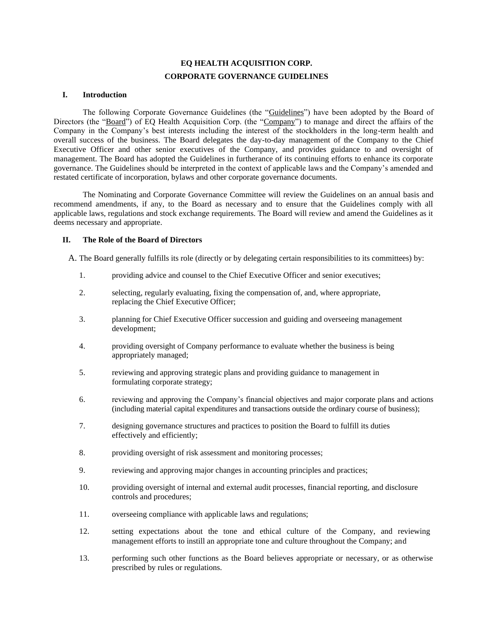# **EQ HEALTH ACQUISITION CORP. CORPORATE GOVERNANCE GUIDELINES**

### **I. Introduction**

The following Corporate Governance Guidelines (the "Guidelines") have been adopted by the Board of Directors (the "Board") of EQ Health Acquisition Corp. (the "Company") to manage and direct the affairs of the Company in the Company's best interests including the interest of the stockholders in the long-term health and overall success of the business. The Board delegates the day-to-day management of the Company to the Chief Executive Officer and other senior executives of the Company, and provides guidance to and oversight of management. The Board has adopted the Guidelines in furtherance of its continuing efforts to enhance its corporate governance. The Guidelines should be interpreted in the context of applicable laws and the Company's amended and restated certificate of incorporation, bylaws and other corporate governance documents.

The Nominating and Corporate Governance Committee will review the Guidelines on an annual basis and recommend amendments, if any, to the Board as necessary and to ensure that the Guidelines comply with all applicable laws, regulations and stock exchange requirements. The Board will review and amend the Guidelines as it deems necessary and appropriate.

### **II. The Role of the Board of Directors**

A. The Board generally fulfills its role (directly or by delegating certain responsibilities to its committees) by:

- 1. providing advice and counsel to the Chief Executive Officer and senior executives;
- 2. selecting, regularly evaluating, fixing the compensation of, and, where appropriate, replacing the Chief Executive Officer;
- 3. planning for Chief Executive Officer succession and guiding and overseeing management development;
- 4. providing oversight of Company performance to evaluate whether the business is being appropriately managed;
- 5. reviewing and approving strategic plans and providing guidance to management in formulating corporate strategy;
- 6. reviewing and approving the Company's financial objectives and major corporate plans and actions (including material capital expenditures and transactions outside the ordinary course of business);
- 7. designing governance structures and practices to position the Board to fulfill its duties effectively and efficiently;
- 8. providing oversight of risk assessment and monitoring processes;
- 9. reviewing and approving major changes in accounting principles and practices;
- 10. providing oversight of internal and external audit processes, financial reporting, and disclosure controls and procedures;
- 11. overseeing compliance with applicable laws and regulations;
- 12. setting expectations about the tone and ethical culture of the Company, and reviewing management efforts to instill an appropriate tone and culture throughout the Company; and
- 13. performing such other functions as the Board believes appropriate or necessary, or as otherwise prescribed by rules or regulations.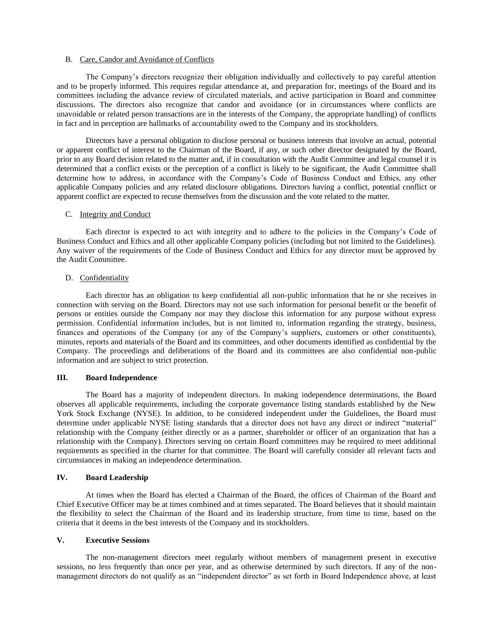#### B. Care, Candor and Avoidance of Conflicts

The Company's directors recognize their obligation individually and collectively to pay careful attention and to be properly informed. This requires regular attendance at, and preparation for, meetings of the Board and its committees including the advance review of circulated materials, and active participation in Board and committee discussions. The directors also recognize that candor and avoidance (or in circumstances where conflicts are unavoidable or related person transactions are in the interests of the Company, the appropriate handling) of conflicts in fact and in perception are hallmarks of accountability owed to the Company and its stockholders.

Directors have a personal obligation to disclose personal or business interests that involve an actual, potential or apparent conflict of interest to the Chairman of the Board, if any, or such other director designated by the Board, prior to any Board decision related to the matter and, if in consultation with the Audit Committee and legal counsel it is determined that a conflict exists or the perception of a conflict is likely to be significant, the Audit Committee shall determine how to address, in accordance with the Company's Code of Business Conduct and Ethics, any other applicable Company policies and any related disclosure obligations. Directors having a conflict, potential conflict or apparent conflict are expected to recuse themselves from the discussion and the vote related to the matter.

# C. Integrity and Conduct

Each director is expected to act with integrity and to adhere to the policies in the Company's Code of Business Conduct and Ethics and all other applicable Company policies (including but not limited to the Guidelines). Any waiver of the requirements of the Code of Business Conduct and Ethics for any director must be approved by the Audit Committee.

### D. Confidentiality

Each director has an obligation to keep confidential all non-public information that he or she receives in connection with serving on the Board. Directors may not use such information for personal benefit or the benefit of persons or entities outside the Company nor may they disclose this information for any purpose without express permission. Confidential information includes, but is not limited to, information regarding the strategy, business, finances and operations of the Company (or any of the Company's suppliers, customers or other constituents), minutes, reports and materials of the Board and its committees, and other documents identified as confidential by the Company. The proceedings and deliberations of the Board and its committees are also confidential non-public information and are subject to strict protection.

## **III. Board Independence**

The Board has a majority of independent directors. In making independence determinations, the Board observes all applicable requirements, including the corporate governance listing standards established by the New York Stock Exchange (NYSE). In addition, to be considered independent under the Guidelines, the Board must determine under applicable NYSE listing standards that a director does not have any direct or indirect "material" relationship with the Company (either directly or as a partner, shareholder or officer of an organization that has a relationship with the Company). Directors serving on certain Board committees may be required to meet additional requirements as specified in the charter for that committee. The Board will carefully consider all relevant facts and circumstances in making an independence determination.

### **IV. Board Leadership**

At times when the Board has elected a Chairman of the Board, the offices of Chairman of the Board and Chief Executive Officer may be at times combined and at times separated. The Board believes that it should maintain the flexibility to select the Chairman of the Board and its leadership structure, from time to time, based on the criteria that it deems in the best interests of the Company and its stockholders.

#### **V. Executive Sessions**

The non-management directors meet regularly without members of management present in executive sessions, no less frequently than once per year, and as otherwise determined by such directors. If any of the nonmanagement directors do not qualify as an "independent director" as set forth in Board Independence above, at least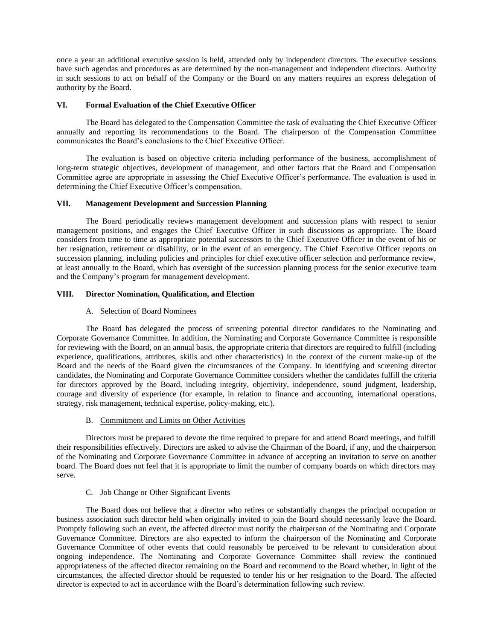once a year an additional executive session is held, attended only by independent directors. The executive sessions have such agendas and procedures as are determined by the non-management and independent directors. Authority in such sessions to act on behalf of the Company or the Board on any matters requires an express delegation of authority by the Board.

### **VI. Formal Evaluation of the Chief Executive Officer**

The Board has delegated to the Compensation Committee the task of evaluating the Chief Executive Officer annually and reporting its recommendations to the Board. The chairperson of the Compensation Committee communicates the Board's conclusions to the Chief Executive Officer.

The evaluation is based on objective criteria including performance of the business, accomplishment of long-term strategic objectives, development of management, and other factors that the Board and Compensation Committee agree are appropriate in assessing the Chief Executive Officer's performance. The evaluation is used in determining the Chief Executive Officer's compensation.

### **VII. Management Development and Succession Planning**

The Board periodically reviews management development and succession plans with respect to senior management positions, and engages the Chief Executive Officer in such discussions as appropriate. The Board considers from time to time as appropriate potential successors to the Chief Executive Officer in the event of his or her resignation, retirement or disability, or in the event of an emergency. The Chief Executive Officer reports on succession planning, including policies and principles for chief executive officer selection and performance review, at least annually to the Board, which has oversight of the succession planning process for the senior executive team and the Company's program for management development.

# **VIII. Director Nomination, Qualification, and Election**

# A. Selection of Board Nominees

The Board has delegated the process of screening potential director candidates to the Nominating and Corporate Governance Committee. In addition, the Nominating and Corporate Governance Committee is responsible for reviewing with the Board, on an annual basis, the appropriate criteria that directors are required to fulfill (including experience, qualifications, attributes, skills and other characteristics) in the context of the current make-up of the Board and the needs of the Board given the circumstances of the Company. In identifying and screening director candidates, the Nominating and Corporate Governance Committee considers whether the candidates fulfill the criteria for directors approved by the Board, including integrity, objectivity, independence, sound judgment, leadership, courage and diversity of experience (for example, in relation to finance and accounting, international operations, strategy, risk management, technical expertise, policy-making, etc.).

### B. Commitment and Limits on Other Activities

Directors must be prepared to devote the time required to prepare for and attend Board meetings, and fulfill their responsibilities effectively. Directors are asked to advise the Chairman of the Board, if any, and the chairperson of the Nominating and Corporate Governance Committee in advance of accepting an invitation to serve on another board. The Board does not feel that it is appropriate to limit the number of company boards on which directors may serve.

# C. Job Change or Other Significant Events

The Board does not believe that a director who retires or substantially changes the principal occupation or business association such director held when originally invited to join the Board should necessarily leave the Board. Promptly following such an event, the affected director must notify the chairperson of the Nominating and Corporate Governance Committee. Directors are also expected to inform the chairperson of the Nominating and Corporate Governance Committee of other events that could reasonably be perceived to be relevant to consideration about ongoing independence. The Nominating and Corporate Governance Committee shall review the continued appropriateness of the affected director remaining on the Board and recommend to the Board whether, in light of the circumstances, the affected director should be requested to tender his or her resignation to the Board. The affected director is expected to act in accordance with the Board's determination following such review.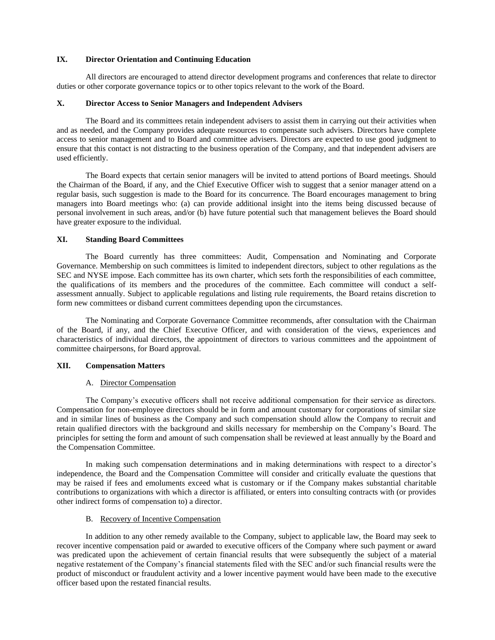# **IX. Director Orientation and Continuing Education**

All directors are encouraged to attend director development programs and conferences that relate to director duties or other corporate governance topics or to other topics relevant to the work of the Board.

# **X. Director Access to Senior Managers and Independent Advisers**

The Board and its committees retain independent advisers to assist them in carrying out their activities when and as needed, and the Company provides adequate resources to compensate such advisers. Directors have complete access to senior management and to Board and committee advisers. Directors are expected to use good judgment to ensure that this contact is not distracting to the business operation of the Company, and that independent advisers are used efficiently.

The Board expects that certain senior managers will be invited to attend portions of Board meetings. Should the Chairman of the Board, if any, and the Chief Executive Officer wish to suggest that a senior manager attend on a regular basis, such suggestion is made to the Board for its concurrence. The Board encourages management to bring managers into Board meetings who: (a) can provide additional insight into the items being discussed because of personal involvement in such areas, and/or (b) have future potential such that management believes the Board should have greater exposure to the individual.

# **XI. Standing Board Committees**

The Board currently has three committees: Audit, Compensation and Nominating and Corporate Governance. Membership on such committees is limited to independent directors, subject to other regulations as the SEC and NYSE impose. Each committee has its own charter, which sets forth the responsibilities of each committee, the qualifications of its members and the procedures of the committee. Each committee will conduct a selfassessment annually. Subject to applicable regulations and listing rule requirements, the Board retains discretion to form new committees or disband current committees depending upon the circumstances.

The Nominating and Corporate Governance Committee recommends, after consultation with the Chairman of the Board, if any, and the Chief Executive Officer, and with consideration of the views, experiences and characteristics of individual directors, the appointment of directors to various committees and the appointment of committee chairpersons, for Board approval.

### **XII. Compensation Matters**

# A. Director Compensation

The Company's executive officers shall not receive additional compensation for their service as directors. Compensation for non-employee directors should be in form and amount customary for corporations of similar size and in similar lines of business as the Company and such compensation should allow the Company to recruit and retain qualified directors with the background and skills necessary for membership on the Company's Board. The principles for setting the form and amount of such compensation shall be reviewed at least annually by the Board and the Compensation Committee.

In making such compensation determinations and in making determinations with respect to a director's independence, the Board and the Compensation Committee will consider and critically evaluate the questions that may be raised if fees and emoluments exceed what is customary or if the Company makes substantial charitable contributions to organizations with which a director is affiliated, or enters into consulting contracts with (or provides other indirect forms of compensation to) a director.

# B. Recovery of Incentive Compensation

In addition to any other remedy available to the Company, subject to applicable law, the Board may seek to recover incentive compensation paid or awarded to executive officers of the Company where such payment or award was predicated upon the achievement of certain financial results that were subsequently the subject of a material negative restatement of the Company's financial statements filed with the SEC and/or such financial results were the product of misconduct or fraudulent activity and a lower incentive payment would have been made to the executive officer based upon the restated financial results.